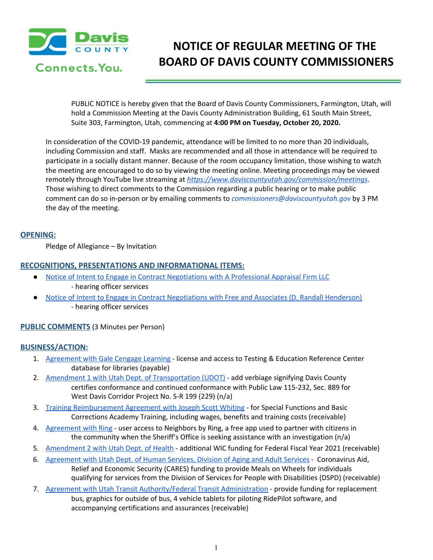

# **NOTICE OF REGULAR MEETING OF THE BOARD OF DAVIS COUNTY COMMISSIONERS**

PUBLIC NOTICE is hereby given that the Board of Davis County Commissioners, Farmington, Utah, will hold a Commission Meeting at the Davis County Administration Building, 61 South Main Street, Suite 303, Farmington, Utah, commencing at **4:00 PM on Tuesday, October 20, 2020.**

In consideration of the COVID-19 pandemic, attendance will be limited to no more than 20 individuals, including Commission and staff. Masks are recommended and all those in attendance will be required to participate in a socially distant manner. Because of the room occupancy limitation, those wishing to watch the meeting are encouraged to do so by viewing the meeting online. Meeting proceedings may be viewed remotely through YouTube live streaming at *<https://www.daviscountyutah.gov/commission/meetings>*. Those wishing to direct comments to the Commission regarding a public hearing or to make public comment can do so in-person or by emailing comments to *commissioners@daviscountyutah.gov* by 3 PM the day of the meeting.

## **OPENING:**

Pledge of Allegiance – By Invitation

## **RECOGNITIONS, PRESENTATIONS AND INFORMATIONAL ITEMS:**

- Notice of Intent to Engage in Contract [Negotiations](https://drive.google.com/file/d/1YDmdY2ZLr3o8uOcTnuUNlKn7VVjvftr7/view?usp=drivesdk) with A Professional Appraisal Firm LLC - hearing officer services
- Notice of Intent to Engage in Contract [Negotiations](https://drive.google.com/file/d/1sXPPir2a-HIhjxerSaVwe2zXTmuE8y_R/view?usp=drivesdk) with Free and Associates (D. Randall Henderson) - hearing officer services

## **PUBLIC COMMENTS** (3 Minutes per Person)

### **BUSINESS/ACTION:**

- 1. [Agreement](https://drive.google.com/file/d/1v9SliUHcKDwf0Rh_NasFtyUWdgYW-YeO/view?usp=drivesdk) with Gale Cengage Learning license and access to Testing & Education Reference Center database for libraries (payable)
- 2. Amendment 1 with Utah Dept. of [Transportation](https://drive.google.com/file/d/1QxbVoK2hVYt0whGJ4FR2pFNFK6LYYUXf/view?usp=drivesdk) (UDOT) add verbiage signifying Davis County certifies conformance and continued conformance with Public Law 115-232, Sec. 889 for West Davis Corridor Project No. S-R 199 (229) (n/a)
- 3. Training [Reimbursement](https://drive.google.com/file/d/1UXeJC5BL2oXjy_lkWQUUorakKgpouUgE/view?usp=drivesdk) Agreement with Joseph Scott Whiting for Special Functions and Basic Corrections Academy Training, including wages, benefits and training costs (receivable)
- 4. [Agreement](https://drive.google.com/file/d/1L4lfslhiV17EoPP5W-dsyaW54kz7dlF5/view?usp=drivesdk) with Ring user access to Neighbors by Ring, a free app used to partner with citizens in the community when the Sheriff's Office is seeking assistance with an investigation (n/a)
- 5. [Amendment](https://drive.google.com/file/d/1bCma_P1QJh_TKduEolKDvFoazeQNDCzV/view?usp=drivesdk) 2 with Utah Dept. of Health additional WIC funding for Federal Fiscal Year 2021 (receivable)
- 6. [Agreement](https://drive.google.com/file/d/1YNGQrGhRLqemRNTO-IAFNYyI2suUhnDV/view?usp=drivesdk) with Utah Dept. of Human Services, Division of Aging and Adult Services Coronavirus Aid, Relief and Economic Security (CARES) funding to provide Meals on Wheels for individuals qualifying for services from the Division of Services for People with Disabilities (DSPD) (receivable)
- 7. Agreement with Utah Transit [Authority/Federal](https://drive.google.com/file/d/1RhD1RI5vYvSQ4bEk02CPgP4XB_jGclfa/view?usp=drivesdk) Transit Administration provide funding for replacement bus, graphics for outside of bus, 4 vehicle tablets for piloting RidePilot software, and accompanying certifications and assurances (receivable)